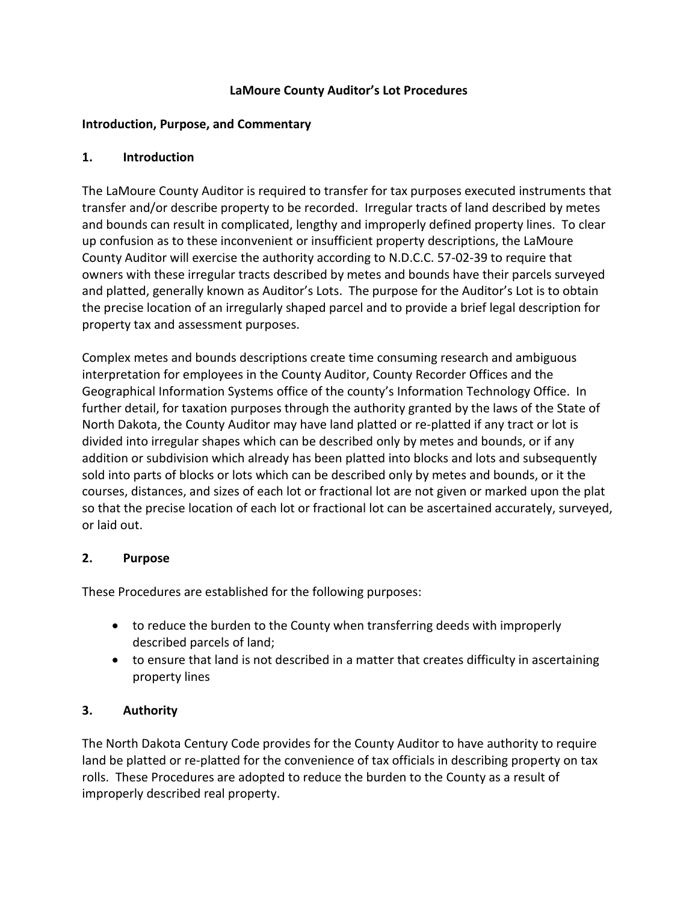### **LaMoure County Auditor's Lot Procedures**

### **Introduction, Purpose, and Commentary**

### **1. Introduction**

The LaMoure County Auditor is required to transfer for tax purposes executed instruments that transfer and/or describe property to be recorded. Irregular tracts of land described by metes and bounds can result in complicated, lengthy and improperly defined property lines. To clear up confusion as to these inconvenient or insufficient property descriptions, the LaMoure County Auditor will exercise the authority according to N.D.C.C. 57-02-39 to require that owners with these irregular tracts described by metes and bounds have their parcels surveyed and platted, generally known as Auditor's Lots. The purpose for the Auditor's Lot is to obtain the precise location of an irregularly shaped parcel and to provide a brief legal description for property tax and assessment purposes.

Complex metes and bounds descriptions create time consuming research and ambiguous interpretation for employees in the County Auditor, County Recorder Offices and the Geographical Information Systems office of the county's Information Technology Office. In further detail, for taxation purposes through the authority granted by the laws of the State of North Dakota, the County Auditor may have land platted or re-platted if any tract or lot is divided into irregular shapes which can be described only by metes and bounds, or if any addition or subdivision which already has been platted into blocks and lots and subsequently sold into parts of blocks or lots which can be described only by metes and bounds, or it the courses, distances, and sizes of each lot or fractional lot are not given or marked upon the plat so that the precise location of each lot or fractional lot can be ascertained accurately, surveyed, or laid out.

# **2. Purpose**

These Procedures are established for the following purposes:

- to reduce the burden to the County when transferring deeds with improperly described parcels of land;
- to ensure that land is not described in a matter that creates difficulty in ascertaining property lines

# **3. Authority**

The North Dakota Century Code provides for the County Auditor to have authority to require land be platted or re-platted for the convenience of tax officials in describing property on tax rolls. These Procedures are adopted to reduce the burden to the County as a result of improperly described real property.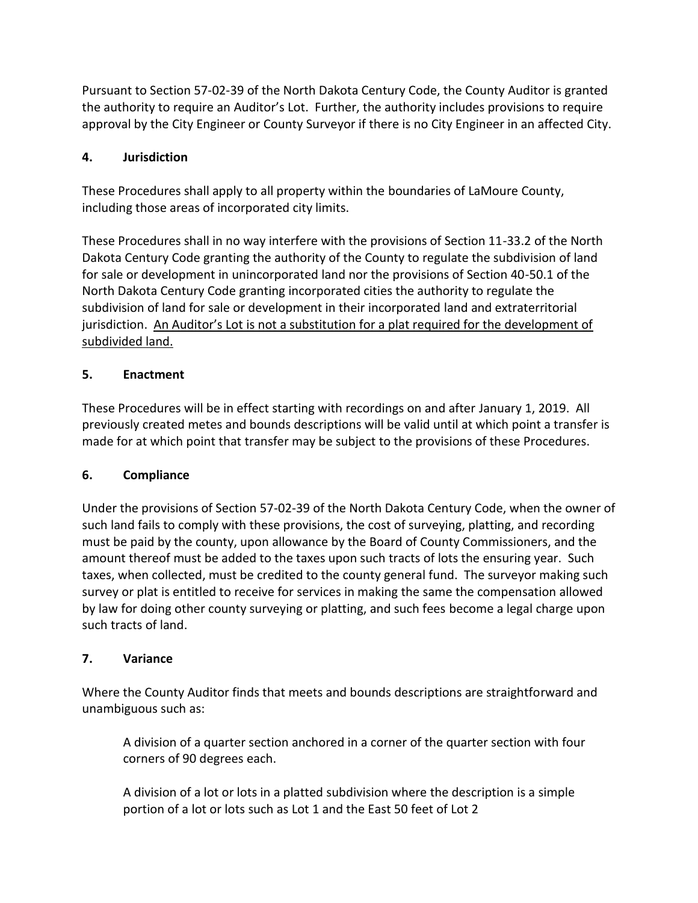Pursuant to Section 57-02-39 of the North Dakota Century Code, the County Auditor is granted the authority to require an Auditor's Lot. Further, the authority includes provisions to require approval by the City Engineer or County Surveyor if there is no City Engineer in an affected City.

# **4. Jurisdiction**

These Procedures shall apply to all property within the boundaries of LaMoure County, including those areas of incorporated city limits.

These Procedures shall in no way interfere with the provisions of Section 11-33.2 of the North Dakota Century Code granting the authority of the County to regulate the subdivision of land for sale or development in unincorporated land nor the provisions of Section 40-50.1 of the North Dakota Century Code granting incorporated cities the authority to regulate the subdivision of land for sale or development in their incorporated land and extraterritorial jurisdiction. An Auditor's Lot is not a substitution for a plat required for the development of subdivided land.

# **5. Enactment**

These Procedures will be in effect starting with recordings on and after January 1, 2019. All previously created metes and bounds descriptions will be valid until at which point a transfer is made for at which point that transfer may be subject to the provisions of these Procedures.

# **6. Compliance**

Under the provisions of Section 57-02-39 of the North Dakota Century Code, when the owner of such land fails to comply with these provisions, the cost of surveying, platting, and recording must be paid by the county, upon allowance by the Board of County Commissioners, and the amount thereof must be added to the taxes upon such tracts of lots the ensuring year. Such taxes, when collected, must be credited to the county general fund. The surveyor making such survey or plat is entitled to receive for services in making the same the compensation allowed by law for doing other county surveying or platting, and such fees become a legal charge upon such tracts of land.

# **7. Variance**

Where the County Auditor finds that meets and bounds descriptions are straightforward and unambiguous such as:

A division of a quarter section anchored in a corner of the quarter section with four corners of 90 degrees each.

A division of a lot or lots in a platted subdivision where the description is a simple portion of a lot or lots such as Lot 1 and the East 50 feet of Lot 2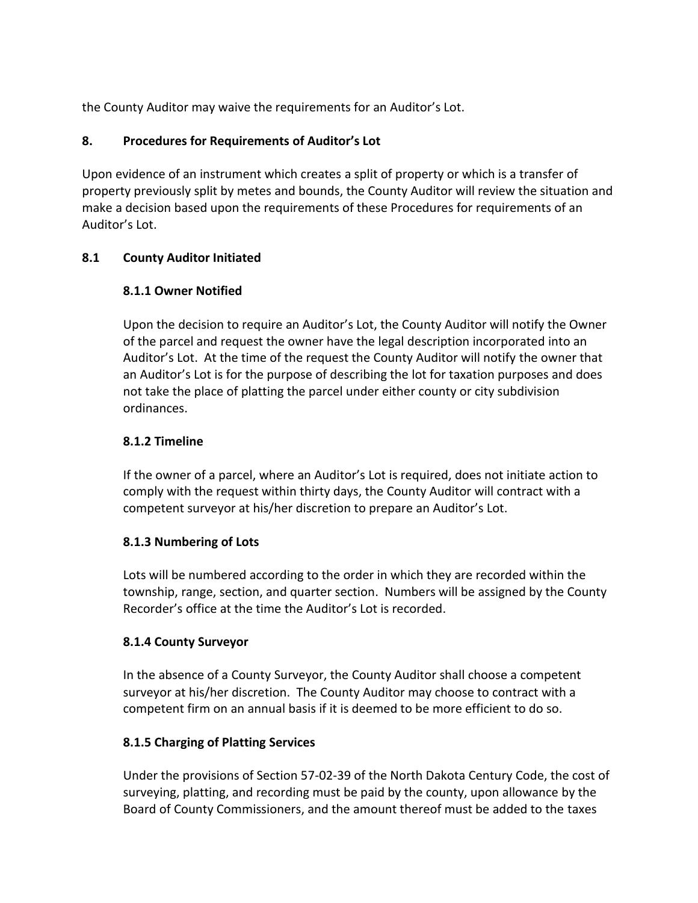the County Auditor may waive the requirements for an Auditor's Lot.

### **8. Procedures for Requirements of Auditor's Lot**

Upon evidence of an instrument which creates a split of property or which is a transfer of property previously split by metes and bounds, the County Auditor will review the situation and make a decision based upon the requirements of these Procedures for requirements of an Auditor's Lot.

### **8.1 County Auditor Initiated**

# **8.1.1 Owner Notified**

Upon the decision to require an Auditor's Lot, the County Auditor will notify the Owner of the parcel and request the owner have the legal description incorporated into an Auditor's Lot. At the time of the request the County Auditor will notify the owner that an Auditor's Lot is for the purpose of describing the lot for taxation purposes and does not take the place of platting the parcel under either county or city subdivision ordinances.

### **8.1.2 Timeline**

If the owner of a parcel, where an Auditor's Lot is required, does not initiate action to comply with the request within thirty days, the County Auditor will contract with a competent surveyor at his/her discretion to prepare an Auditor's Lot.

#### **8.1.3 Numbering of Lots**

Lots will be numbered according to the order in which they are recorded within the township, range, section, and quarter section. Numbers will be assigned by the County Recorder's office at the time the Auditor's Lot is recorded.

#### **8.1.4 County Surveyor**

In the absence of a County Surveyor, the County Auditor shall choose a competent surveyor at his/her discretion. The County Auditor may choose to contract with a competent firm on an annual basis if it is deemed to be more efficient to do so.

#### **8.1.5 Charging of Platting Services**

Under the provisions of Section 57-02-39 of the North Dakota Century Code, the cost of surveying, platting, and recording must be paid by the county, upon allowance by the Board of County Commissioners, and the amount thereof must be added to the taxes